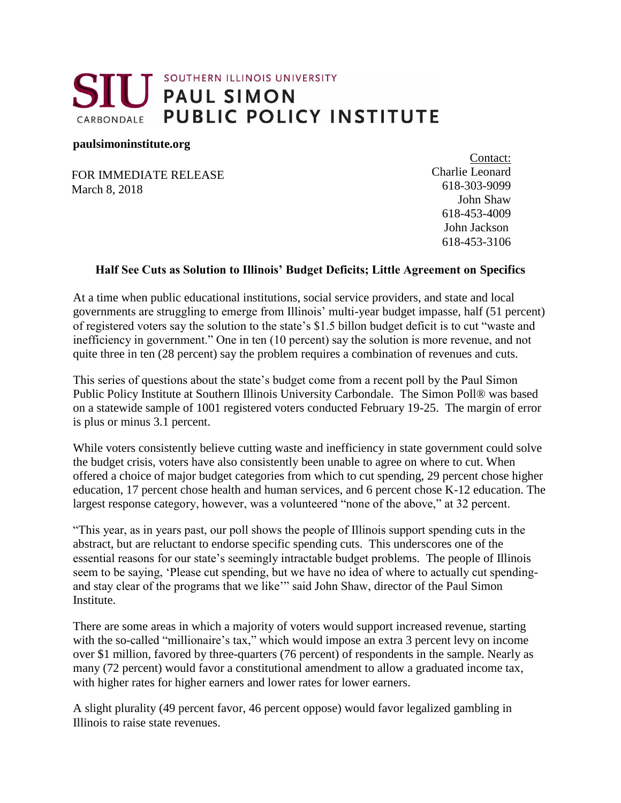## SOUTHERN ILLINOIS UNIVERSITY **TELERA ILLINOIS UNIT** PUBLIC POLICY INSTITUTE CARBONDALE

#### **paulsimoninstitute.org**

FOR IMMEDIATE RELEASE Charlie Leonard March 8, 2018

Contact: 618-303-9099 John Shaw 618-453-4009 John Jackson 618-453-3106

### **Half See Cuts as Solution to Illinois' Budget Deficits; Little Agreement on Specifics**

At a time when public educational institutions, social service providers, and state and local governments are struggling to emerge from Illinois' multi-year budget impasse, half (51 percent) of registered voters say the solution to the state's \$1.5 billon budget deficit is to cut "waste and inefficiency in government." One in ten (10 percent) say the solution is more revenue, and not quite three in ten (28 percent) say the problem requires a combination of revenues and cuts.

This series of questions about the state's budget come from a recent poll by the Paul Simon Public Policy Institute at Southern Illinois University Carbondale. The Simon Poll® was based on a statewide sample of 1001 registered voters conducted February 19-25. The margin of error is plus or minus 3.1 percent.

While voters consistently believe cutting waste and inefficiency in state government could solve the budget crisis, voters have also consistently been unable to agree on where to cut. When offered a choice of major budget categories from which to cut spending, 29 percent chose higher education, 17 percent chose health and human services, and 6 percent chose K-12 education. The largest response category, however, was a volunteered "none of the above," at 32 percent.

"This year, as in years past, our poll shows the people of Illinois support spending cuts in the abstract, but are reluctant to endorse specific spending cuts. This underscores one of the essential reasons for our state's seemingly intractable budget problems. The people of Illinois seem to be saying, 'Please cut spending, but we have no idea of where to actually cut spendingand stay clear of the programs that we like'" said John Shaw, director of the Paul Simon **Institute** 

There are some areas in which a majority of voters would support increased revenue, starting with the so-called "millionaire's tax," which would impose an extra 3 percent levy on income over \$1 million, favored by three-quarters (76 percent) of respondents in the sample. Nearly as many (72 percent) would favor a constitutional amendment to allow a graduated income tax, with higher rates for higher earners and lower rates for lower earners.

A slight plurality (49 percent favor, 46 percent oppose) would favor legalized gambling in Illinois to raise state revenues.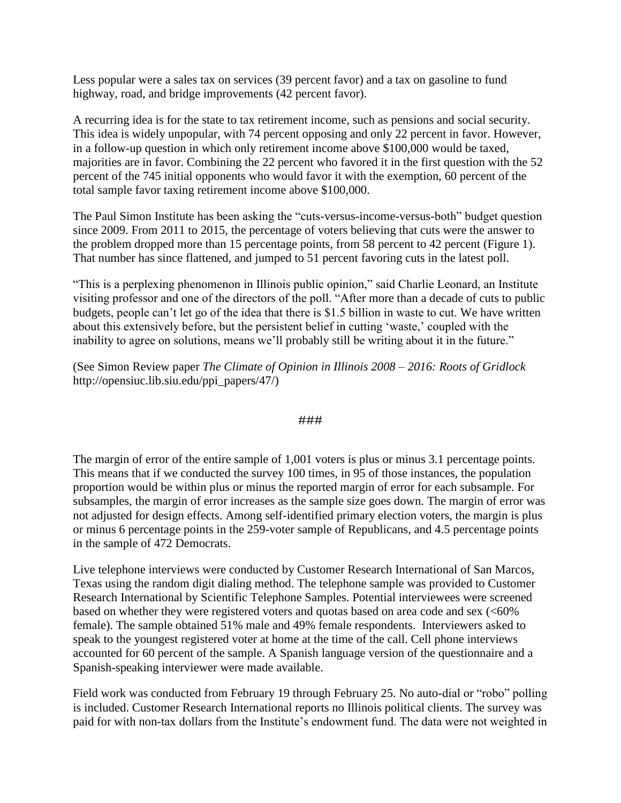Less popular were a sales tax on services (39 percent favor) and a tax on gasoline to fund highway, road, and bridge improvements (42 percent favor).

A recurring idea is for the state to tax retirement income, such as pensions and social security. This idea is widely unpopular, with 74 percent opposing and only 22 percent in favor. However, in a follow-up question in which only retirement income above \$100,000 would be taxed, majorities are in favor. Combining the 22 percent who favored it in the first question with the 52 percent of the 745 initial opponents who would favor it with the exemption, 60 percent of the total sample favor taxing retirement income above \$100,000.

The Paul Simon Institute has been asking the "cuts-versus-income-versus-both" budget question since 2009. From 2011 to 2015, the percentage of voters believing that cuts were the answer to the problem dropped more than 15 percentage points, from 58 percent to 42 percent (Figure 1). That number has since flattened, and jumped to 51 percent favoring cuts in the latest poll.

"This is a perplexing phenomenon in Illinois public opinion," said Charlie Leonard, an Institute visiting professor and one of the directors of the poll. "After more than a decade of cuts to public budgets, people can't let go of the idea that there is \$1.5 billion in waste to cut. We have written about this extensively before, but the persistent belief in cutting 'waste,' coupled with the inability to agree on solutions, means we'll probably still be writing about it in the future."

(See Simon Review paper *The Climate of Opinion in Illinois 2008 – 2016: Roots of Gridlock* http://opensiuc.lib.siu.edu/ppi\_papers/47/)

#### ###

The margin of error of the entire sample of 1,001 voters is plus or minus 3.1 percentage points. This means that if we conducted the survey 100 times, in 95 of those instances, the population proportion would be within plus or minus the reported margin of error for each subsample. For subsamples, the margin of error increases as the sample size goes down. The margin of error was not adjusted for design effects. Among self-identified primary election voters, the margin is plus or minus 6 percentage points in the 259-voter sample of Republicans, and 4.5 percentage points in the sample of 472 Democrats.

Live telephone interviews were conducted by Customer Research International of San Marcos, Texas using the random digit dialing method. The telephone sample was provided to Customer Research International by Scientific Telephone Samples. Potential interviewees were screened based on whether they were registered voters and quotas based on area code and sex (<60% female). The sample obtained 51% male and 49% female respondents. Interviewers asked to speak to the youngest registered voter at home at the time of the call. Cell phone interviews accounted for 60 percent of the sample. A Spanish language version of the questionnaire and a Spanish-speaking interviewer were made available.

Field work was conducted from February 19 through February 25. No auto-dial or "robo" polling is included. Customer Research International reports no Illinois political clients. The survey was paid for with non-tax dollars from the Institute's endowment fund. The data were not weighted in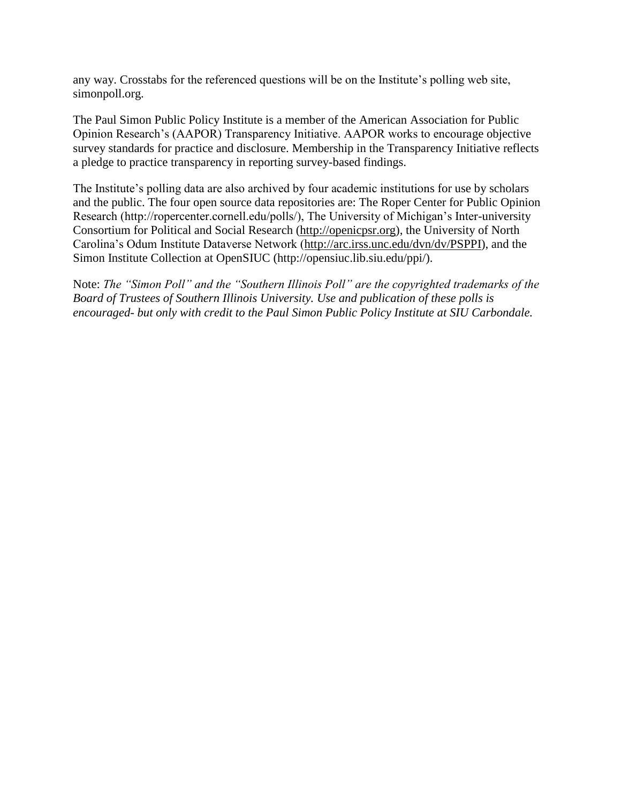any way. Crosstabs for the referenced questions will be on the Institute's polling web site, simonpoll.org.

The Paul Simon Public Policy Institute is a member of the American Association for Public Opinion Research's (AAPOR) Transparency Initiative. AAPOR works to encourage objective survey standards for practice and disclosure. Membership in the Transparency Initiative reflects a pledge to practice transparency in reporting survey-based findings.

The Institute's polling data are also archived by four academic institutions for use by scholars and the public. The four open source data repositories are: The Roper Center for Public Opinion Research (http://ropercenter.cornell.edu/polls/), The University of Michigan's Inter-university Consortium for Political and Social Research [\(http://openicpsr.org\)](http://openicpsr.org/repoEntity/list), the University of North Carolina's Odum Institute Dataverse Network [\(http://arc.irss.unc.edu/dvn/dv/PSPPI\)](http://arc.irss.unc.edu/dvn/dv/PSPPI), and the Simon Institute Collection at OpenSIUC (http://opensiuc.lib.siu.edu/ppi/).

Note: *The "Simon Poll" and the "Southern Illinois Poll" are the copyrighted trademarks of the Board of Trustees of Southern Illinois University. Use and publication of these polls is encouraged- but only with credit to the Paul Simon Public Policy Institute at SIU Carbondale.*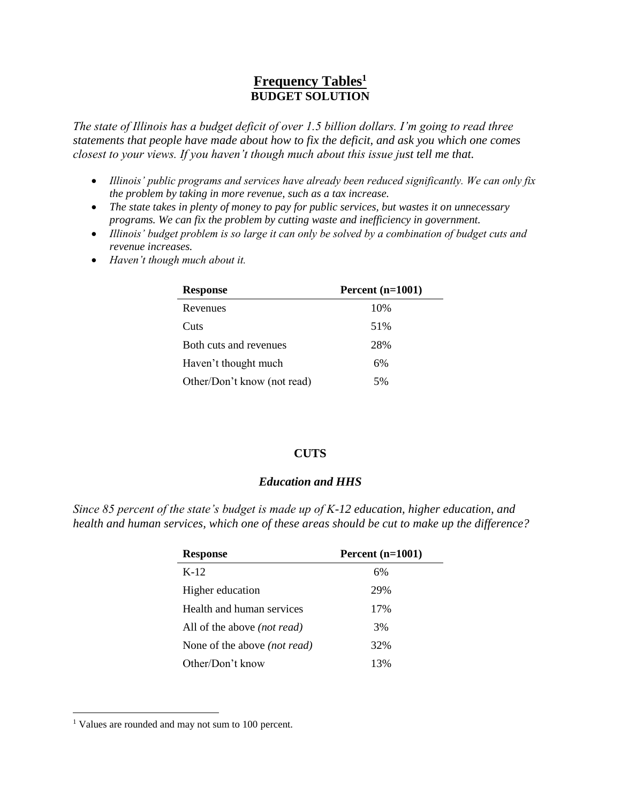# **Frequency Tables<sup>1</sup> BUDGET SOLUTION**

*The state of Illinois has a budget deficit of over 1.5 billion dollars. I'm going to read three statements that people have made about how to fix the deficit, and ask you which one comes closest to your views. If you haven't though much about this issue just tell me that.* 

- *Illinois' public programs and services have already been reduced significantly. We can only fix the problem by taking in more revenue, such as a tax increase.*
- *The state takes in plenty of money to pay for public services, but wastes it on unnecessary programs. We can fix the problem by cutting waste and inefficiency in government.*
- *Illinois' budget problem is so large it can only be solved by a combination of budget cuts and revenue increases.*
- *Haven't though much about it.*

| <b>Response</b>             | Percent $(n=1001)$ |
|-----------------------------|--------------------|
| Revenues                    | 10%                |
| Cuts                        | 51%                |
| Both cuts and revenues      | 28%                |
| Haven't thought much        | 6%                 |
| Other/Don't know (not read) | 5%                 |

#### **CUTS**

#### *Education and HHS*

*Since 85 percent of the state's budget is made up of K-12 education, higher education, and health and human services, which one of these areas should be cut to make up the difference?*

| <b>Response</b>                     | Percent $(n=1001)$ |
|-------------------------------------|--------------------|
| $K-12$                              | 6%                 |
| Higher education                    | 29%                |
| Health and human services           | 17%                |
| All of the above <i>(not read)</i>  | 3%                 |
| None of the above <i>(not read)</i> | 32%                |
| Other/Don't know                    | 13%                |

 $\overline{a}$ 

<sup>&</sup>lt;sup>1</sup> Values are rounded and may not sum to 100 percent.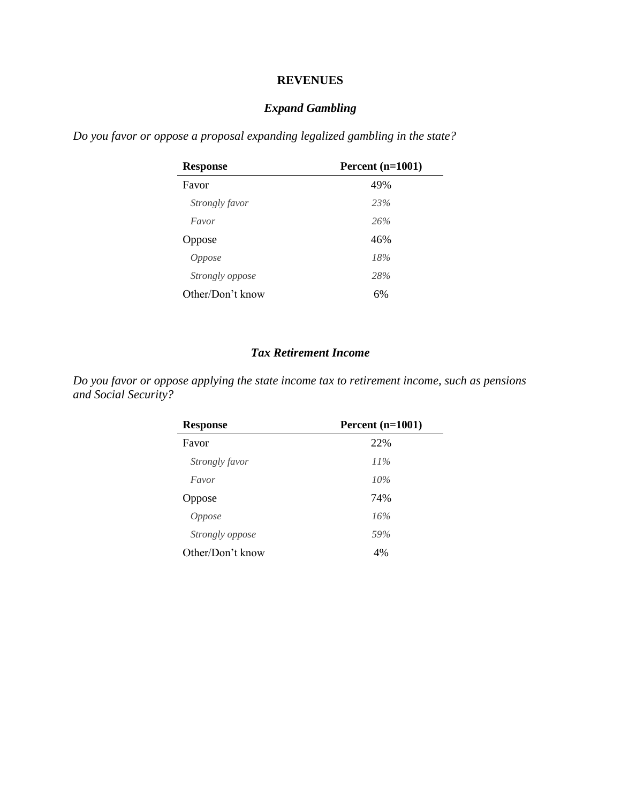### **REVENUES**

# *Expand Gambling*

*Do you favor or oppose a proposal expanding legalized gambling in the state?*

| <b>Response</b>  | Percent $(n=1001)$ |
|------------------|--------------------|
| Favor            | 49%                |
| Strongly favor   | 23%                |
| Favor            | 26%                |
| Oppose           | 46%                |
| <i>Oppose</i>    | 18%                |
| Strongly oppose  | 28%                |
| Other/Don't know | 6%                 |

### *Tax Retirement Income*

*Do you favor or oppose applying the state income tax to retirement income, such as pensions and Social Security?*

| <b>Response</b>        | Percent $(n=1001)$ |
|------------------------|--------------------|
| Favor                  | 22%                |
| Strongly favor         | 11%                |
| Favor                  | 10%                |
| Oppose                 | 74%                |
| <i>Oppose</i>          | 16%                |
| <i>Strongly oppose</i> | 59%                |
| Other/Don't know       | 4%                 |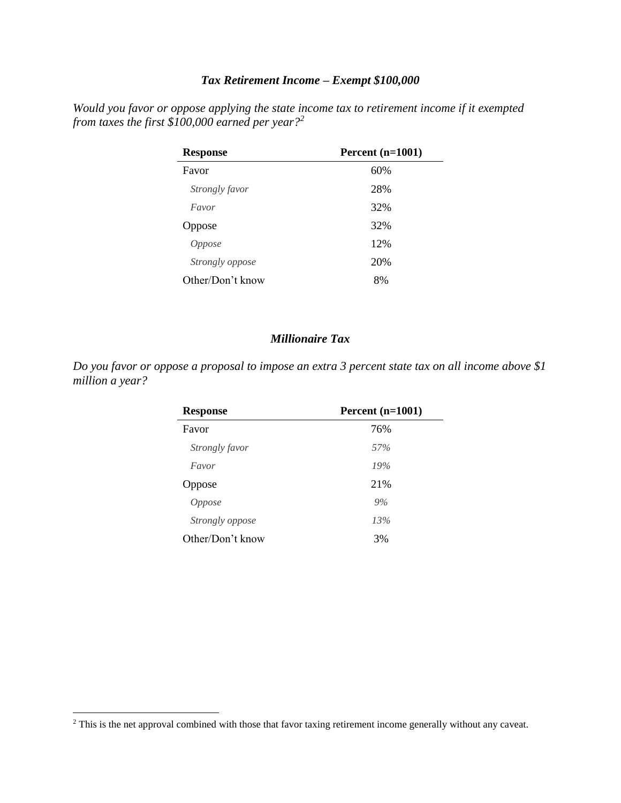## *Tax Retirement Income – Exempt \$100,000*

*Would you favor or oppose applying the state income tax to retirement income if it exempted from taxes the first \$100,000 earned per year?<sup>2</sup>*

| <b>Response</b>        | Percent $(n=1001)$ |
|------------------------|--------------------|
| Favor                  | 60%                |
| Strongly favor         | 28%                |
| Favor                  | 32%                |
| Oppose                 | 32%                |
| <i>Oppose</i>          | 12%                |
| <i>Strongly oppose</i> | 20%                |
| Other/Don't know       | 8%                 |

#### *Millionaire Tax*

*Do you favor or oppose a proposal to impose an extra 3 percent state tax on all income above \$1 million a year?*

| <b>Response</b>  | Percent $(n=1001)$ |
|------------------|--------------------|
| Favor            | 76%                |
| Strongly favor   | 57%                |
| Favor            | 19%                |
| Oppose           | 21%                |
| <i>Oppose</i>    | 9%                 |
| Strongly oppose  | 13%                |
| Other/Don't know | 3%                 |

 $\overline{a}$ 

 $2$  This is the net approval combined with those that favor taxing retirement income generally without any caveat.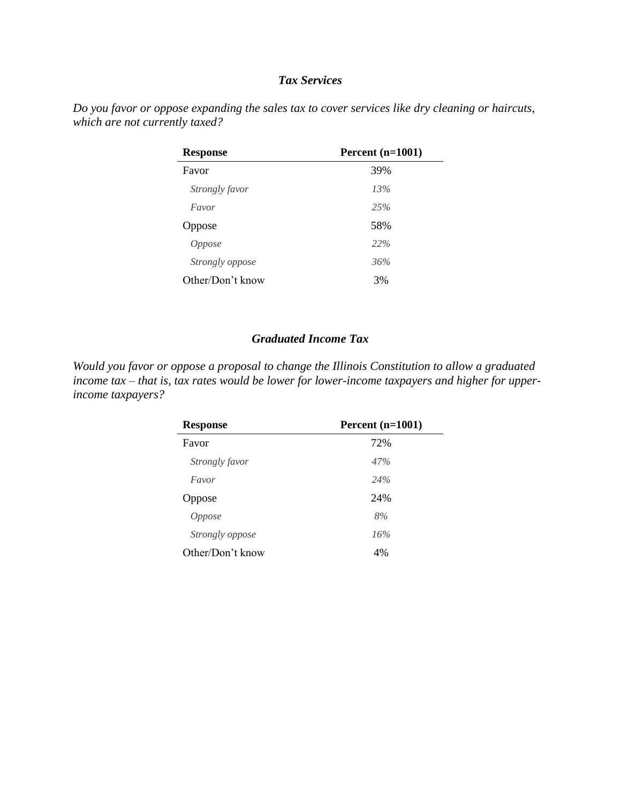### *Tax Services*

*Do you favor or oppose expanding the sales tax to cover services like dry cleaning or haircuts, which are not currently taxed?*

| <b>Response</b>  | Percent $(n=1001)$ |
|------------------|--------------------|
| Favor            | 39%                |
| Strongly favor   | 13%                |
| Favor            | 25%                |
| Oppose           | 58%                |
| <i>Oppose</i>    | 22%                |
| Strongly oppose  | 36%                |
| Other/Don't know | 3%                 |

#### *Graduated Income Tax*

*Would you favor or oppose a proposal to change the Illinois Constitution to allow a graduated income tax – that is, tax rates would be lower for lower-income taxpayers and higher for upperincome taxpayers?*

| <b>Response</b>  | Percent $(n=1001)$ |
|------------------|--------------------|
| Favor            | 72%                |
| Strongly favor   | 47%                |
| Favor            | 24%                |
| Oppose           | 24%                |
| <i>Oppose</i>    | 8%                 |
| Strongly oppose  | 16%                |
| Other/Don't know | 4%                 |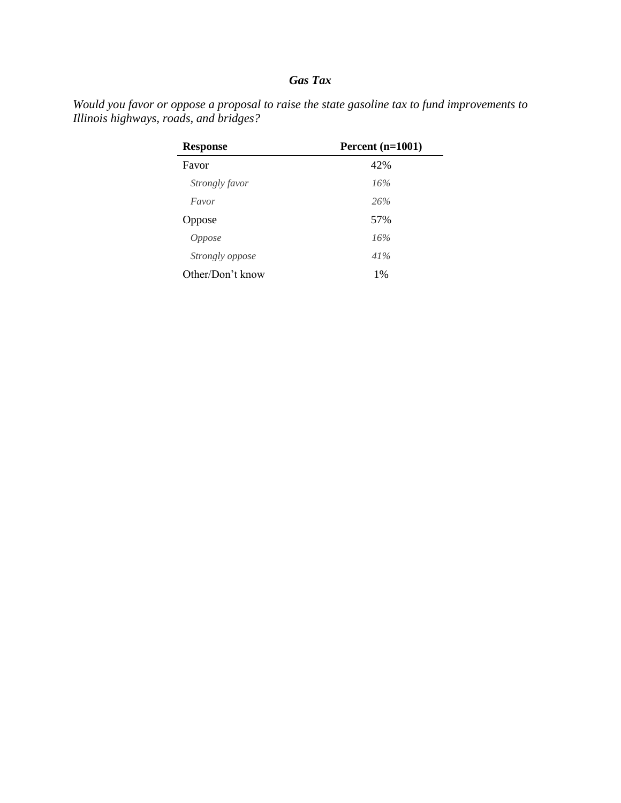# *Gas Tax*

*Would you favor or oppose a proposal to raise the state gasoline tax to fund improvements to Illinois highways, roads, and bridges?*

| <b>Response</b>  | Percent $(n=1001)$ |
|------------------|--------------------|
| Favor            | 42%                |
| Strongly favor   | 16%                |
| Favor            | 26%                |
| Oppose           | 57%                |
| <i>Oppose</i>    | 16%                |
| Strongly oppose  | 41%                |
| Other/Don't know | 1%                 |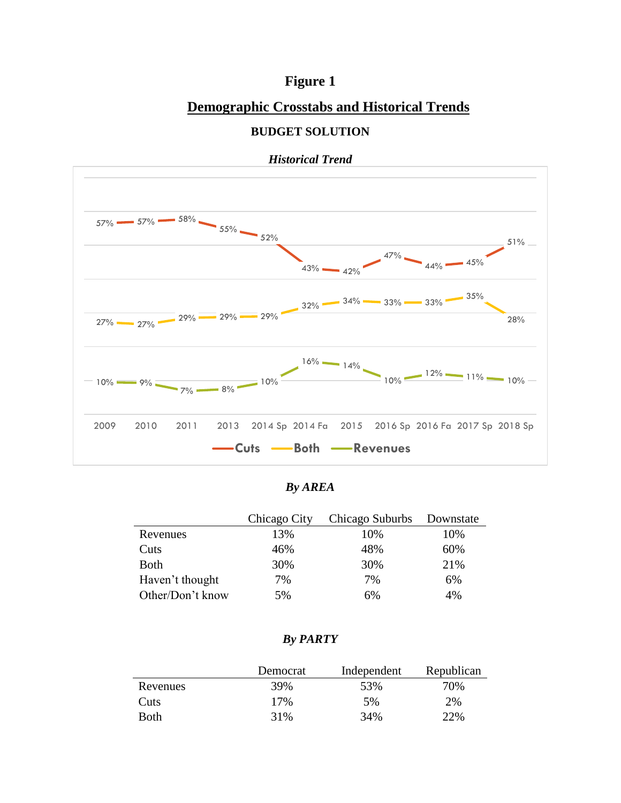# **Figure 1**

# **Demographic Crosstabs and Historical Trends**



*Historical Trend*

**BUDGET SOLUTION**

|  | . . | ١.<br>יי |  |
|--|-----|----------|--|
|--|-----|----------|--|

|                  | Chicago City | Chicago Suburbs | Downstate |
|------------------|--------------|-----------------|-----------|
| Revenues         | 13%          | 10%             | 10%       |
| Cuts             | 46%          | 48%             | 60%       |
| <b>Both</b>      | 30%          | 30%             | 21%       |
| Haven't thought  | 7%           | 7%              | 6%        |
| Other/Don't know | 5%           | 6%              | 4%        |

### *By PARTY*

|          | Democrat | Independent | Republican |
|----------|----------|-------------|------------|
| Revenues | 39%      | 53%         | 70%        |
| Cuts     | 17%      | 5%          | 2%         |
| Both     | 31%      | 34%         | 22\%       |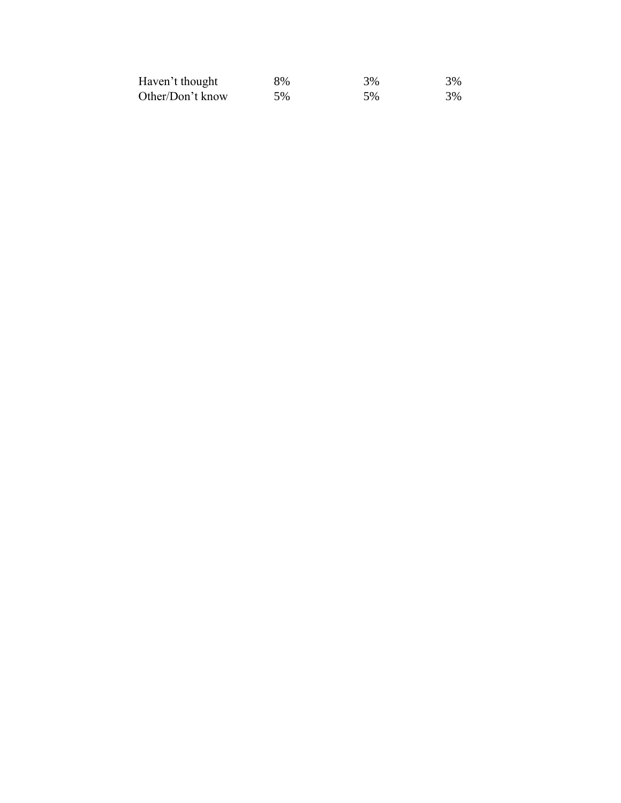| Haven't thought  | 8% | 3% | 3% |
|------------------|----|----|----|
| Other/Don't know | 5% | 5% | 3% |